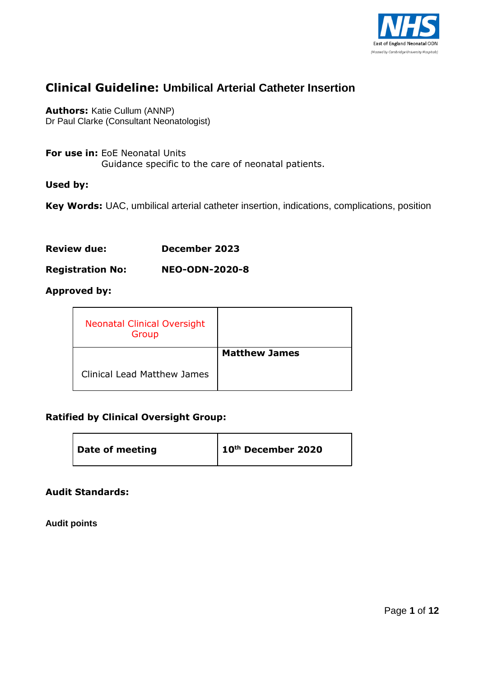

# **Clinical Guideline: Umbilical Arterial Catheter Insertion**

**Authors:** Katie Cullum (ANNP) Dr Paul Clarke (Consultant Neonatologist)

**For use in:** EoE Neonatal Units Guidance specific to the care of neonatal patients.

#### **Used by:**

**Key Words:** UAC, umbilical arterial catheter insertion, indications, complications, position

**Review due: December 2023**

**Registration No: NEO-ODN-2020-8**

#### **Approved by:**

| <b>Neonatal Clinical Oversight</b><br>Group |                      |
|---------------------------------------------|----------------------|
|                                             | <b>Matthew James</b> |
| <b>Clinical Lead Matthew James</b>          |                      |

## **Ratified by Clinical Oversight Group:**

| Date of meeting | $\vert$ 10 <sup>th</sup> December 2020 |
|-----------------|----------------------------------------|
|-----------------|----------------------------------------|

#### **Audit Standards:**

**Audit points**

 $\blacksquare$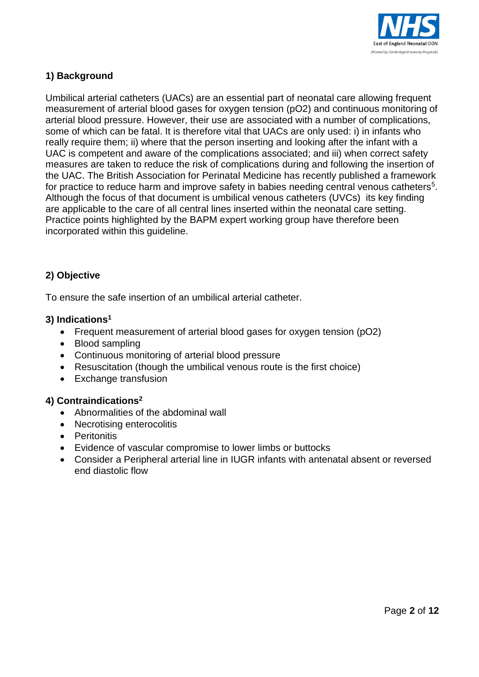

# **1) Background**

Umbilical arterial catheters (UACs) are an essential part of neonatal care allowing frequent measurement of arterial blood gases for oxygen tension (pO2) and continuous monitoring of arterial blood pressure. However, their use are associated with a number of complications, some of which can be fatal. It is therefore vital that UACs are only used: i) in infants who really require them; ii) where that the person inserting and looking after the infant with a UAC is competent and aware of the complications associated; and iii) when correct safety measures are taken to reduce the risk of complications during and following the insertion of the UAC. The British Association for Perinatal Medicine has recently published a framework for practice to reduce harm and improve safety in babies needing central venous catheters<sup>5</sup>. Although the focus of that document is umbilical venous catheters (UVCs) its key finding are applicable to the care of all central lines inserted within the neonatal care setting. Practice points highlighted by the BAPM expert working group have therefore been incorporated within this guideline.

# **2) Objective**

To ensure the safe insertion of an umbilical arterial catheter.

#### **3) Indications<sup>1</sup>**

- Frequent measurement of arterial blood gases for oxygen tension (pO2)
- Blood sampling
- Continuous monitoring of arterial blood pressure
- Resuscitation (though the umbilical venous route is the first choice)
- Exchange transfusion

#### **4) Contraindications<sup>2</sup>**

- Abnormalities of the abdominal wall
- Necrotising enterocolitis
- Peritonitis
- Evidence of vascular compromise to lower limbs or buttocks
- Consider a Peripheral arterial line in IUGR infants with antenatal absent or reversed end diastolic flow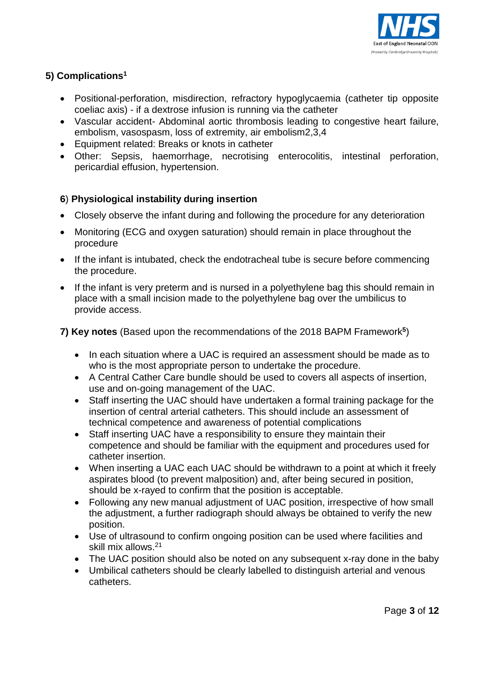

# **5) Complications<sup>1</sup>**

- Positional-perforation, misdirection, refractory hypoglycaemia (catheter tip opposite coeliac axis) - if a dextrose infusion is running via the catheter
- Vascular accident- Abdominal aortic thrombosis leading to congestive heart failure, embolism, vasospasm, loss of extremity, air embolism2,3,4
- Equipment related: Breaks or knots in catheter
- Other: Sepsis, haemorrhage, necrotising enterocolitis, intestinal perforation, pericardial effusion, hypertension.

# **6**) **Physiological instability during insertion**

- Closely observe the infant during and following the procedure for any deterioration
- Monitoring (ECG and oxygen saturation) should remain in place throughout the procedure
- If the infant is intubated, check the endotracheal tube is secure before commencing the procedure.
- If the infant is very preterm and is nursed in a polyethylene bag this should remain in place with a small incision made to the polyethylene bag over the umbilicus to provide access.

#### **7) Key notes** (Based upon the recommendations of the 2018 BAPM Framework**<sup>5</sup>** )

- In each situation where a UAC is required an assessment should be made as to who is the most appropriate person to undertake the procedure.
- A Central Cather Care bundle should be used to covers all aspects of insertion, use and on-going management of the UAC.
- Staff inserting the UAC should have undertaken a formal training package for the insertion of central arterial catheters. This should include an assessment of technical competence and awareness of potential complications
- Staff inserting UAC have a responsibility to ensure they maintain their competence and should be familiar with the equipment and procedures used for catheter insertion.
- When inserting a UAC each UAC should be withdrawn to a point at which it freely aspirates blood (to prevent malposition) and, after being secured in position, should be x-rayed to confirm that the position is acceptable.
- Following any new manual adjustment of UAC position, irrespective of how small the adjustment, a further radiograph should always be obtained to verify the new position.
- Use of ultrasound to confirm ongoing position can be used where facilities and skill mix allows.<sup>21</sup>
- The UAC position should also be noted on any subsequent x-ray done in the baby
- Umbilical catheters should be clearly labelled to distinguish arterial and venous catheters.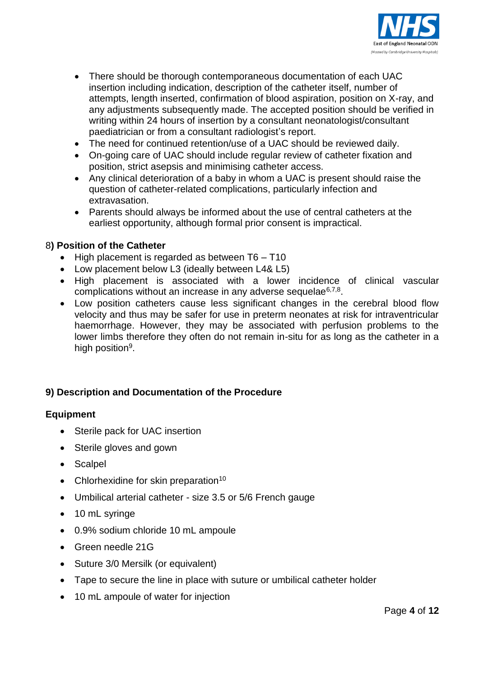

- There should be thorough contemporaneous documentation of each UAC insertion including indication, description of the catheter itself, number of attempts, length inserted, confirmation of blood aspiration, position on X-ray, and any adjustments subsequently made. The accepted position should be verified in writing within 24 hours of insertion by a consultant neonatologist/consultant paediatrician or from a consultant radiologist's report.
- The need for continued retention/use of a UAC should be reviewed daily.
- On-going care of UAC should include regular review of catheter fixation and position, strict asepsis and minimising catheter access.
- Any clinical deterioration of a baby in whom a UAC is present should raise the question of catheter-related complications, particularly infection and extravasation.
- Parents should always be informed about the use of central catheters at the earliest opportunity, although formal prior consent is impractical.

# 8**) Position of the Catheter**

- $\bullet$  High placement is regarded as between T6 T10
- Low placement below L3 (ideally between L4& L5)
- High placement is associated with a lower incidence of clinical vascular complications without an increase in any adverse sequelae<sup>6,7,8</sup>.
- Low position catheters cause less significant changes in the cerebral blood flow velocity and thus may be safer for use in preterm neonates at risk for intraventricular haemorrhage. However, they may be associated with perfusion problems to the lower limbs therefore they often do not remain in-situ for as long as the catheter in a high position<sup>9</sup>.

# **9) Description and Documentation of the Procedure**

#### **Equipment**

- Sterile pack for UAC insertion
- Sterile gloves and gown
- Scalpel
- Chlorhexidine for skin preparation<sup>10</sup>
- Umbilical arterial catheter size 3.5 or 5/6 French gauge
- 10 mL syringe
- 0.9% sodium chloride 10 mL ampoule
- Green needle 21G
- Suture 3/0 Mersilk (or equivalent)
- Tape to secure the line in place with suture or umbilical catheter holder
- 10 mL ampoule of water for injection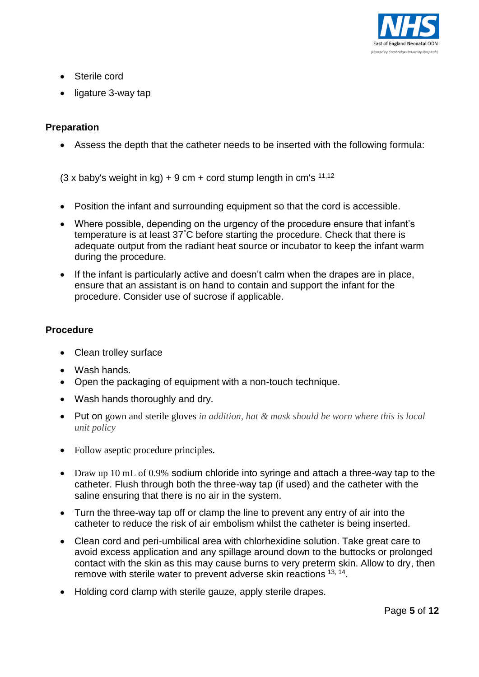

- Sterile cord
- ligature 3-way tap

## **Preparation**

Assess the depth that the catheter needs to be inserted with the following formula:

 $(3 \times$  baby's weight in kg) + 9 cm + cord stump length in cm's  $11,12$ 

- Position the infant and surrounding equipment so that the cord is accessible.
- Where possible, depending on the urgency of the procedure ensure that infant's temperature is at least 37°C before starting the procedure. Check that there is adequate output from the radiant heat source or incubator to keep the infant warm during the procedure.
- If the infant is particularly active and doesn't calm when the drapes are in place, ensure that an assistant is on hand to contain and support the infant for the procedure. Consider use of sucrose if applicable.

#### **Procedure**

- Clean trolley surface
- Wash hands.
- Open the packaging of equipment with a non-touch technique.
- Wash hands thoroughly and dry.
- Put on gown and sterile gloves *in addition, hat & mask should be worn where this is local unit policy*
- Follow aseptic procedure principles.
- Draw up 10 mL of 0.9% sodium chloride into syringe and attach a three-way tap to the catheter. Flush through both the three-way tap (if used) and the catheter with the saline ensuring that there is no air in the system.
- Turn the three-way tap off or clamp the line to prevent any entry of air into the catheter to reduce the risk of air embolism whilst the catheter is being inserted.
- Clean cord and peri-umbilical area with chlorhexidine solution. Take great care to avoid excess application and any spillage around down to the buttocks or prolonged contact with the skin as this may cause burns to very preterm skin. Allow to dry, then remove with sterile water to prevent adverse skin reactions <sup>13, 14</sup>.
- Holding cord clamp with sterile gauze, apply sterile drapes.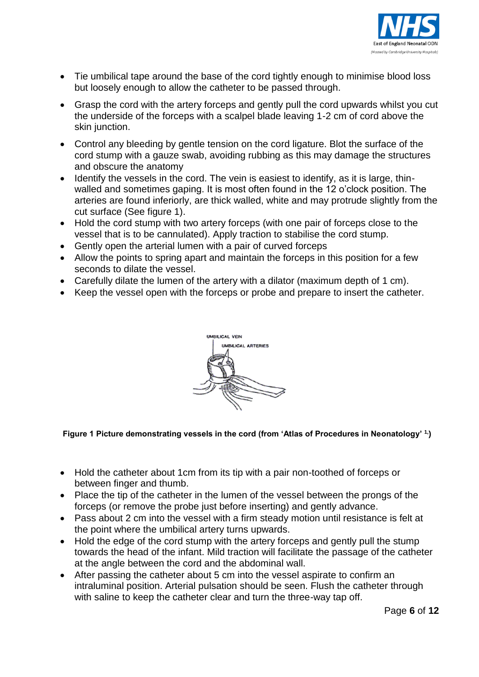

- Tie umbilical tape around the base of the cord tightly enough to minimise blood loss but loosely enough to allow the catheter to be passed through.
- Grasp the cord with the artery forceps and gently pull the cord upwards whilst you cut the underside of the forceps with a scalpel blade leaving 1-2 cm of cord above the skin junction.
- Control any bleeding by gentle tension on the cord ligature. Blot the surface of the cord stump with a gauze swab, avoiding rubbing as this may damage the structures and obscure the anatomy
- Identify the vessels in the cord. The vein is easiest to identify, as it is large, thinwalled and sometimes gaping. It is most often found in the 12 o'clock position. The arteries are found inferiorly, are thick walled, white and may protrude slightly from the cut surface (See figure 1).
- Hold the cord stump with two artery forceps (with one pair of forceps close to the vessel that is to be cannulated). Apply traction to stabilise the cord stump.
- Gently open the arterial lumen with a pair of curved forceps
- Allow the points to spring apart and maintain the forceps in this position for a few seconds to dilate the vessel.
- Carefully dilate the lumen of the artery with a dilator (maximum depth of 1 cm).
- Keep the vessel open with the forceps or probe and prepare to insert the catheter.



#### **Figure 1 Picture demonstrating vessels in the cord (from 'Atlas of Procedures in Neonatology' 1,)**

- Hold the catheter about 1cm from its tip with a pair non-toothed of forceps or between finger and thumb.
- Place the tip of the catheter in the lumen of the vessel between the prongs of the forceps (or remove the probe just before inserting) and gently advance.
- Pass about 2 cm into the vessel with a firm steady motion until resistance is felt at the point where the umbilical artery turns upwards.
- Hold the edge of the cord stump with the artery forceps and gently pull the stump towards the head of the infant. Mild traction will facilitate the passage of the catheter at the angle between the cord and the abdominal wall.
- After passing the catheter about 5 cm into the vessel aspirate to confirm an intraluminal position. Arterial pulsation should be seen. Flush the catheter through with saline to keep the catheter clear and turn the three-way tap off.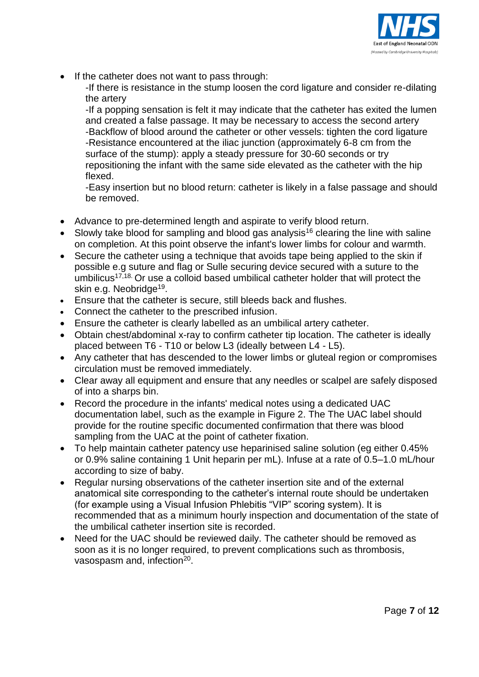

• If the catheter does not want to pass through:

-If there is resistance in the stump loosen the cord ligature and consider re-dilating the artery

-If a popping sensation is felt it may indicate that the catheter has exited the lumen and created a false passage. It may be necessary to access the second artery -Backflow of blood around the catheter or other vessels: tighten the cord ligature -Resistance encountered at the iliac junction (approximately 6-8 cm from the surface of the stump): apply a steady pressure for 30-60 seconds or try repositioning the infant with the same side elevated as the catheter with the hip flexed.

-Easy insertion but no blood return: catheter is likely in a false passage and should be removed.

- Advance to pre-determined length and aspirate to verify blood return.
- Slowly take blood for sampling and blood gas analysis<sup>16</sup> clearing the line with saline on completion. At this point observe the infant's lower limbs for colour and warmth.
- Secure the catheter using a technique that avoids tape being applied to the skin if possible e.g suture and flag or Sulle securing device secured with a suture to the umbilicus<sup>17,18</sup>. Or use a colloid based umbilical catheter holder that will protect the skin e.g. Neobridge<sup>19</sup>.
- Ensure that the catheter is secure, still bleeds back and flushes.
- Connect the catheter to the prescribed infusion.
- Ensure the catheter is clearly labelled as an umbilical artery catheter.
- Obtain chest/abdominal x-ray to confirm catheter tip location. The catheter is ideally placed between T6 - T10 or below L3 (ideally between L4 - L5).
- Any catheter that has descended to the lower limbs or gluteal region or compromises circulation must be removed immediately.
- Clear away all equipment and ensure that any needles or scalpel are safely disposed of into a sharps bin.
- Record the procedure in the infants' medical notes using a dedicated UAC documentation label, such as the example in Figure 2. The The UAC label should provide for the routine specific documented confirmation that there was blood sampling from the UAC at the point of catheter fixation.
- To help maintain catheter patency use heparinised saline solution (eg either 0.45% or 0.9% saline containing 1 Unit heparin per mL). Infuse at a rate of 0.5–1.0 mL/hour according to size of baby.
- Regular nursing observations of the catheter insertion site and of the external anatomical site corresponding to the catheter's internal route should be undertaken (for example using a Visual Infusion Phlebitis "VIP" scoring system). It is recommended that as a minimum hourly inspection and documentation of the state of the umbilical catheter insertion site is recorded.
- Need for the UAC should be reviewed daily. The catheter should be removed as soon as it is no longer required, to prevent complications such as thrombosis, vasospasm and, infection<sup>20</sup>.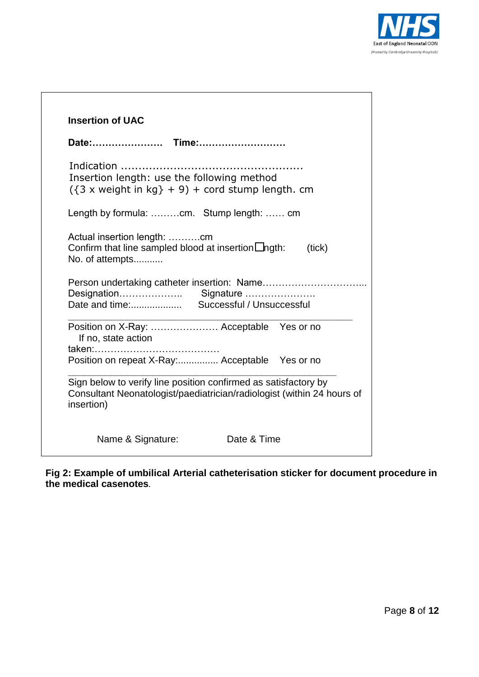

|                                          | Date: Time:                                                                                                                               |  |        |
|------------------------------------------|-------------------------------------------------------------------------------------------------------------------------------------------|--|--------|
|                                          | Indication<br>Insertion length: use the following method<br>$({3 \times \text{weight in kg}} + 9) + \text{cord stump length. cm}$         |  |        |
| Length by formula: cm. Stump length:  cm |                                                                                                                                           |  |        |
|                                          | Actual insertion length: cm<br>Confirm that line sampled blood at insertion $\Box$ ngth:<br>No. of attempts                               |  | (tick) |
|                                          |                                                                                                                                           |  |        |
|                                          | Position on X-Ray:  Acceptable  Yes or no<br>If no, state action                                                                          |  |        |
|                                          | Position on repeat X-Ray: Acceptable Yes or no                                                                                            |  |        |
|                                          | Sign below to verify line position confirmed as satisfactory by<br>Consultant Neonatologist/paediatrician/radiologist (within 24 hours of |  |        |
| insertion)                               |                                                                                                                                           |  |        |

**Fig 2: Example of umbilical Arterial catheterisation sticker for document procedure in the medical casenotes.**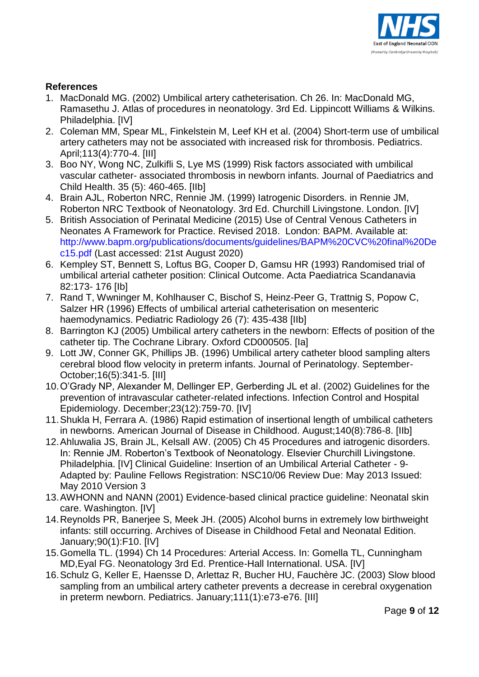

## **References**

- 1. MacDonald MG. (2002) Umbilical artery catheterisation. Ch 26. In: MacDonald MG, Ramasethu J. Atlas of procedures in neonatology. 3rd Ed. Lippincott Williams & Wilkins. Philadelphia. [IV]
- 2. Coleman MM, Spear ML, Finkelstein M, Leef KH et al. (2004) Short-term use of umbilical artery catheters may not be associated with increased risk for thrombosis. Pediatrics. April;113(4):770-4. [III]
- 3. Boo NY, Wong NC, Zulkifli S, Lye MS (1999) Risk factors associated with umbilical vascular catheter- associated thrombosis in newborn infants. Journal of Paediatrics and Child Health. 35 (5): 460-465. [IIb]
- 4. Brain AJL, Roberton NRC, Rennie JM. (1999) Iatrogenic Disorders. in Rennie JM, Roberton NRC Textbook of Neonatology. 3rd Ed. Churchill Livingstone. London. [IV]
- 5. British Association of Perinatal Medicine (2015) Use of Central Venous Catheters in Neonates A Framework for Practice. Revised 2018. London: BAPM. Available at: [http://www.bapm.org/publications/documents/guidelines/BAPM%20CVC%20final%20De](http://www.bapm.org/publications/documents/guidelines/BAPM%20CVC%20final%20Dec15.pdf) [c15.pdf](http://www.bapm.org/publications/documents/guidelines/BAPM%20CVC%20final%20Dec15.pdf) (Last accessed: 21st August 2020)
- 6. Kempley ST, Bennett S, Loftus BG, Cooper D, Gamsu HR (1993) Randomised trial of umbilical arterial catheter position: Clinical Outcome. Acta Paediatrica Scandanavia 82:173- 176 [Ib]
- 7. Rand T, Wwninger M, Kohlhauser C, Bischof S, Heinz-Peer G, Trattnig S, Popow C, Salzer HR (1996) Effects of umbilical arterial catheterisation on mesenteric haemodynamics. Pediatric Radiology 26 (7): 435-438 [IIb]
- 8. Barrington KJ (2005) Umbilical artery catheters in the newborn: Effects of position of the catheter tip. The Cochrane Library. Oxford CD000505. [Ia]
- 9. Lott JW, Conner GK, Phillips JB. (1996) Umbilical artery catheter blood sampling alters cerebral blood flow velocity in preterm infants. Journal of Perinatology. September-October;16(5):341-5. [III]
- 10.O'Grady NP, Alexander M, Dellinger EP, Gerberding JL et al. (2002) Guidelines for the prevention of intravascular catheter-related infections. Infection Control and Hospital Epidemiology. December;23(12):759-70. [IV]
- 11.Shukla H, Ferrara A. (1986) Rapid estimation of insertional length of umbilical catheters in newborns. American Journal of Disease in Childhood. August;140(8):786-8. [IIb]
- 12.Ahluwalia JS, Brain JL, Kelsall AW. (2005) Ch 45 Procedures and iatrogenic disorders. In: Rennie JM. Roberton's Textbook of Neonatology. Elsevier Churchill Livingstone. Philadelphia. [IV] Clinical Guideline: Insertion of an Umbilical Arterial Catheter - 9- Adapted by: Pauline Fellows Registration: NSC10/06 Review Due: May 2013 Issued: May 2010 Version 3
- 13.AWHONN and NANN (2001) Evidence-based clinical practice guideline: Neonatal skin care. Washington. [IV]
- 14.Reynolds PR, Banerjee S, Meek JH. (2005) Alcohol burns in extremely low birthweight infants: still occurring. Archives of Disease in Childhood Fetal and Neonatal Edition. January;90(1):F10. [IV]
- 15.Gomella TL. (1994) Ch 14 Procedures: Arterial Access. In: Gomella TL, Cunningham MD,Eyal FG. Neonatology 3rd Ed. Prentice-Hall International. USA. [IV]
- 16.Schulz G, Keller E, Haensse D, Arlettaz R, Bucher HU, Fauchère JC. (2003) Slow blood sampling from an umbilical artery catheter prevents a decrease in cerebral oxygenation in preterm newborn. Pediatrics. January;111(1):e73-e76. [III]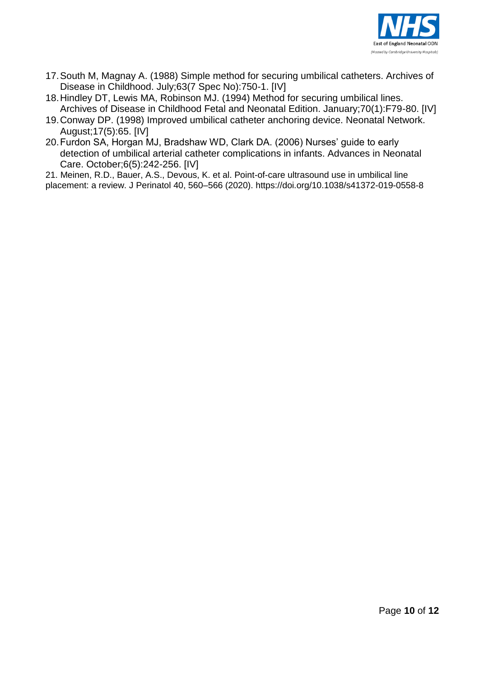

- 17.South M, Magnay A. (1988) Simple method for securing umbilical catheters. Archives of Disease in Childhood. July;63(7 Spec No):750-1. [IV]
- 18.Hindley DT, Lewis MA, Robinson MJ. (1994) Method for securing umbilical lines. Archives of Disease in Childhood Fetal and Neonatal Edition. January;70(1):F79-80. [IV]
- 19.Conway DP. (1998) Improved umbilical catheter anchoring device. Neonatal Network. August;17(5):65. [IV]
- 20.Furdon SA, Horgan MJ, Bradshaw WD, Clark DA. (2006) Nurses' guide to early detection of umbilical arterial catheter complications in infants. Advances in Neonatal Care. October;6(5):242-256. [IV]

21. Meinen, R.D., Bauer, A.S., Devous, K. et al. Point-of-care ultrasound use in umbilical line placement: a review. J Perinatol 40, 560–566 (2020). https://doi.org/10.1038/s41372-019-0558-8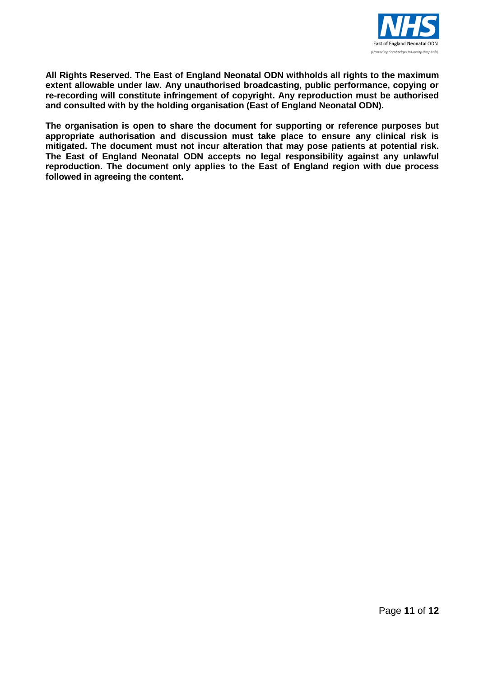

**All Rights Reserved. The East of England Neonatal ODN withholds all rights to the maximum extent allowable under law. Any unauthorised broadcasting, public performance, copying or re-recording will constitute infringement of copyright. Any reproduction must be authorised and consulted with by the holding organisation (East of England Neonatal ODN).**

**The organisation is open to share the document for supporting or reference purposes but appropriate authorisation and discussion must take place to ensure any clinical risk is mitigated. The document must not incur alteration that may pose patients at potential risk. The East of England Neonatal ODN accepts no legal responsibility against any unlawful reproduction. The document only applies to the East of England region with due process followed in agreeing the content.**